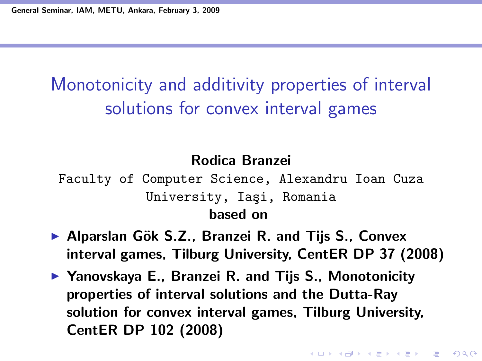## Monotonicity and additivity properties of interval solutions for convex interval games

#### Rodica Branzei

Faculty of Computer Science, Alexandru Ioan Cuza University, Iaşi, Romania based on

- ▶ Alparslan Gök S.Z., Branzei R. and Tijs S., Convex interval games, Tilburg University, CentER DP 37 (2008)
- ▶ Yanovskaya E., Branzei R. and Tijs S., Monotonicity properties of interval solutions and the Dutta-Ray solution for convex interval games, Tilburg University, CentER DP 102 (2008)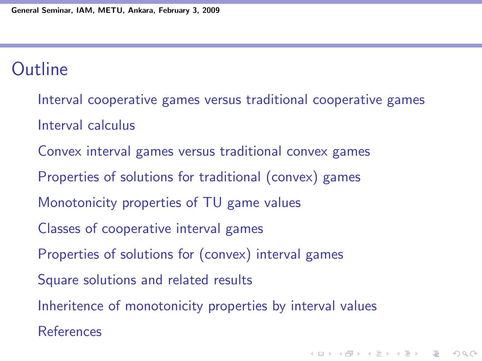### **Outline**

Interval cooperative games versus traditional cooperative games Interval calculus Convex interval games versus traditional convex games Properties of solutions for traditional (convex) games Monotonicity properties of TU game values Classes of cooperative interval games Properties of solutions for (convex) interval games Square solutions and related results Inheritence of monotonicity properties by interval values References

**K ロ ▶ K @ ▶ K 할 X X 할 X 및 할 X X Q Q O**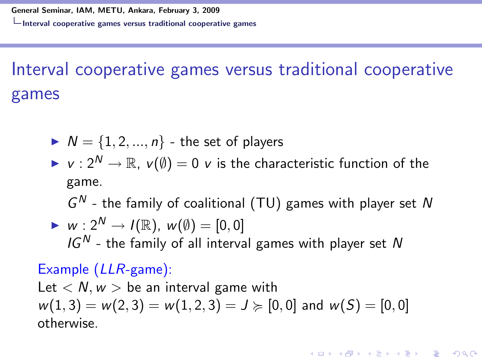# Interval cooperative games versus traditional cooperative games

$$
\blacktriangleright N = \{1, 2, ..., n\} \text{ - the set of players}
$$

 $V : 2^N \to \mathbb{R}, V(\emptyset) = 0$  v is the characteristic function of the game.

 $G<sup>N</sup>$  - the family of coalitional (TU) games with player set N

► 
$$
w: 2^N \rightarrow I(\mathbb{R})
$$
,  $w(\emptyset) = [0, 0]$   
 $IG^N$  - the family of all interval games with player set N

#### Example (LLR-game):

Let  $\langle N, w \rangle$  be an interval game with  $w(1, 3) = w(2, 3) = w(1, 2, 3) = J \geq [0, 0]$  and  $w(S) = [0, 0]$ otherwise.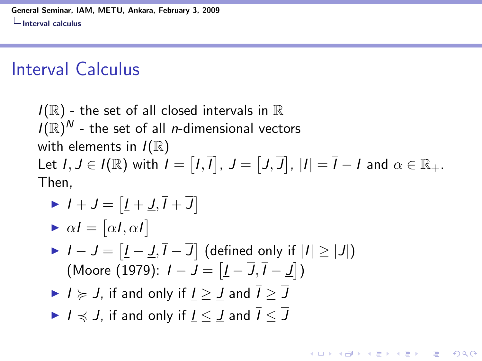### Interval Calculus

 $I(\mathbb{R})$  - the set of all closed intervals in  $\mathbb R$  $I(\mathbb{R})^N$  - the set of all *n*-dimensional vectors with elements in  $I(\mathbb{R})$ Let  $I, J \in I(\mathbb{R})$  with  $I = [I, \overline{I}], J = [J, \overline{J}], |I| = \overline{I} - I$  and  $\alpha \in \mathbb{R}_+$ . Then,

- $I + J = [I + J, I + J]$
- $\blacktriangleright \alpha I = [\alpha \underline{I}, \alpha \overline{I}]$
- $I J = [I J, \overline{I} \overline{J}]$  (defined only if  $|I| \ge |J|$ ) (Moore (1979):  $I - J = \left[ \underline{I} - \overline{J}, \overline{I} - \underline{J} \right]$ )
- $\blacktriangleright$   $I \geq J$ , if and only if  $I > J$  and  $\overline{I} > \overline{J}$
- $\blacktriangleright$   $I \preccurlyeq J$ , if and only if  $I \leq J$  and  $\overline{I} \leq \overline{J}$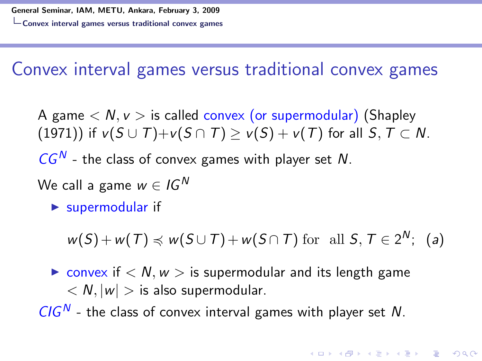Convex interval games versus traditional convex games

A game  $\langle N, \nu \rangle$  is called convex (or supermodular) (Shapley (1971)) if  $v(S \cup T)+v(S \cap T) \ge v(S)+v(T)$  for all  $S, T \subset N$ .

 $CG^N$  - the class of convex games with player set  $N$ .

- We call a game  $w \in I G^N$ 
	- $\blacktriangleright$  supermodular if

 $w(S) + w(T) \preccurlyeq w(S \cup T) + w(S \cap T)$  for all  $S, T \in 2^N$ ; (a)

**KORKAR KERKER EL VOLO** 

 $\triangleright$  convex if  $\lt N, w >$  is supermodular and its length game  $\langle N, |w| \rangle$  is also supermodular.

 $CIG<sup>N</sup>$  - the class of convex interval games with player set N.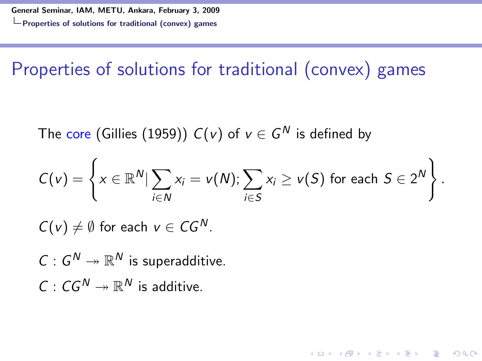Properties of solutions for traditional (convex) games

The core (Gillies (1959))  $C({\mathsf v})$  of  ${\mathsf v} \in G^{\mathsf N}$  is defined by

$$
C(v) = \left\{ x \in \mathbb{R}^N \vert \sum_{i \in N} x_i = v(N); \sum_{i \in S} x_i \geq v(S) \text{ for each } S \in 2^N \right\}.
$$

**KORK ERKER ADE YOUR** 

 $C(v) \neq \emptyset$  for each  $v \in CG^N$ .

 $C: G^N \twoheadrightarrow \mathbb{R}^N$  is superadditive.  $C: CG^N \twoheadrightarrow \mathbb{R}^N$  is additive.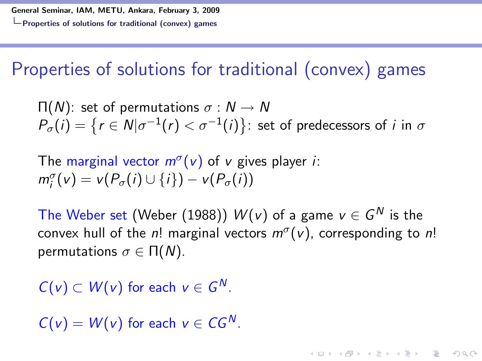Properties of solutions for traditional (convex) games

$$
\Pi(N): \text{ set of permutations } \sigma: N \to N
$$
\n
$$
P_{\sigma}(i) = \{r \in N | \sigma^{-1}(r) < \sigma^{-1}(i)\} \colon \text{set of predecessors of } i \text{ in } \sigma
$$

The marginal vector  $m^{\sigma}(v)$  of v gives player *i*:  $m_i^{\sigma}(v) = v(P_{\sigma}(i) \cup \{i\}) - v(P_{\sigma}(i))$ 

The Weber set (Weber (1988))  $W(v)$  of a game  $v\in G^N$  is the convex hull of the n! marginal vectors  $m^{\sigma}(v)$ , corresponding to n! permutations  $σ ∈ Π(N)$ .

4 0 > 4 4 + 4 3 + 4 3 + 5 + 9 4 0 +

 $C(v) \subset W(v)$  for each  $v \in G^N$ .

 $C(v) = W(v)$  for each  $v \in CG^N$ .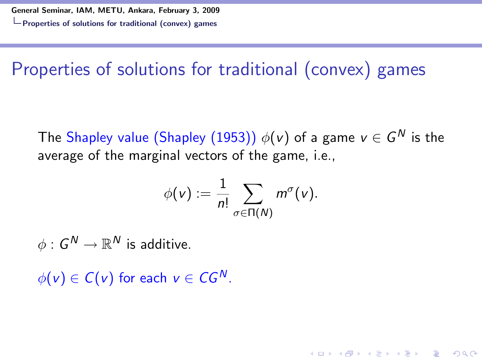Properties of solutions for traditional (convex) games

The  $\mathsf{Shapley}$  value  $\mathsf{(Shapley \ (1953))}\; \phi(\mathsf{v})$  of a game  $\mathsf{v}\in \mathsf{G}^{\mathsf{N}}$  is the average of the marginal vectors of the game, i.e.,

$$
\phi(v) := \frac{1}{n!} \sum_{\sigma \in \Pi(N)} m^{\sigma}(v).
$$

4 0 > 4 4 + 4 3 + 4 3 + 5 + 9 4 0 +

 $\phi: \mathsf{G}^\mathsf{N} \to \mathbb{R}^\mathsf{N}$  is additive.

 $\phi(v) \in C(v)$  for each  $v \in CG^N$ .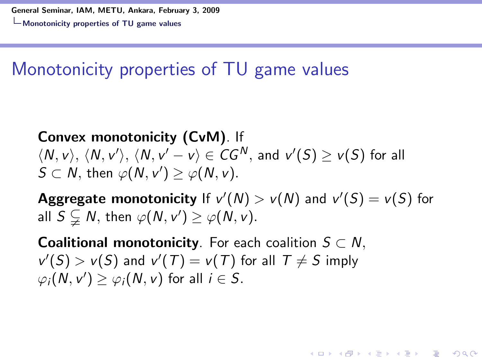## Monotonicity properties of TU game values

Convex monotonicity (CvM). If  $\langle N,\nu\rangle,\,\langle N,\nu'\rangle,\,\langle N,\nu'-\nu\rangle\in {\it CG}^N,\, \text{and}\,\,\nu'(S)\geq \nu(S)$  for all  $S \subset N$ , then  $\varphi(N, v') \geq \varphi(N, v)$ .

**Aggregate monotonicity** If  $v'(N) > v(N)$  and  $v'(S) = v(S)$  for all  $S \subsetneq N$ , then  $\varphi(N, v') \geq \varphi(N, v)$ .

4 0 > 4 4 + 4 3 + 4 3 + 5 + 9 4 0 +

**Coalitional monotonicity**. For each coalition  $S \subset N$ ,  $v'(S) > v(S)$  and  $v'(T) = v(T)$  for all  $T \neq S$  imply  $\varphi_i(N, v') \ge \varphi_i(N, v)$  for all  $i \in S$ .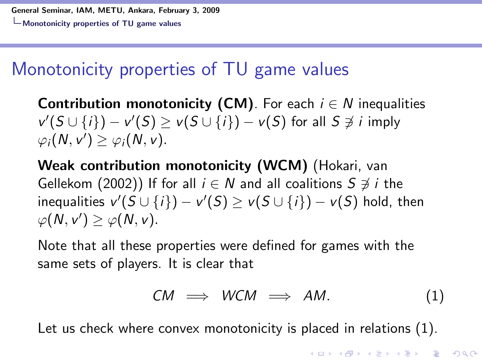## Monotonicity properties of TU game values

**Contribution monotonicity (CM)**. For each  $i \in N$  inequalities  $v'(S \cup \{i\}) - v'(S) \ge v(S \cup \{i\}) - v(S)$  for all  $S \not\ni i$  imply  $\varphi_i(N, v') \geq \varphi_i(N, v).$ 

Weak contribution monotonicity (WCM) (Hokari, van Gellekom (2002)) If for all  $i \in N$  and all coalitions  $S \not\ni i$  the inequalities  $v'(S \cup \{i\}) - v'(S) \ge v(S \cup \{i\}) - v(S)$  hold, then  $\varphi(N, v') \geq \varphi(N, v).$ 

Note that all these properties were defined for games with the same sets of players. It is clear that

$$
CM \implies WCM \implies AM. \tag{1}
$$

Let us check where convex monotonicity is placed in relations (1).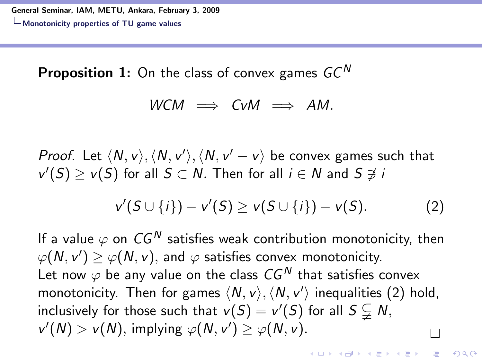**Proposition 1:** On the class of convex games  $GC^N$ 

$$
WCM \implies CvM \implies AM.
$$

*Proof.* Let  $\langle N, v \rangle, \langle N, v' \rangle, \langle N, v' - v \rangle$  be convex games such that  $v'(S) \ge v(S)$  for all  $S \subset N$ . Then for all  $i \in N$  and  $S \not\ni i$ 

$$
v'(S \cup \{i\}) - v'(S) \ge v(S \cup \{i\}) - v(S). \tag{2}
$$

**KORKAR KERKER EL VOLO** 

If a value  $\varphi$  on  $CG^N$  satisfies weak contribution monotonicity, then  $\varphi(N, \nu') \ge \varphi(N, \nu)$ , and  $\varphi$  satisfies convex monotonicity. Let now  $\varphi$  be any value on the class  $CG^N$  that satisfies convex monotonicity. Then for games  $\langle N, v \rangle, \langle N, v' \rangle$  inequalities (2) hold, inclusively for those such that  $v(S) = v'(S)$  for all  $S \subsetneq N$ ,  $v'(N) > v(N)$ , implying  $\varphi(N, v') \geq \varphi(N, v)$ .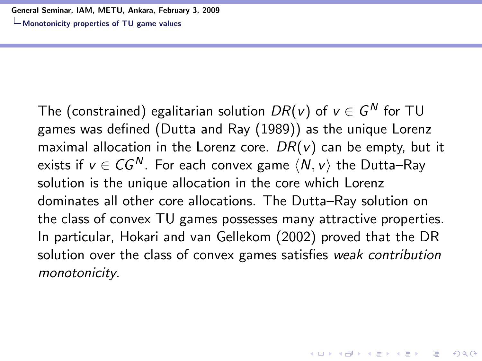Monotonicity properties of TU game values

The (constrained) egalitarian solution  $DR(v)$  of  $v\in\mathsf{G}^{N}$  for TU games was defined (Dutta and Ray (1989)) as the unique Lorenz maximal allocation in the Lorenz core.  $DR(v)$  can be empty, but it exists if  $v \in CG^N$ . For each convex game  $\langle N, v \rangle$  the Dutta–Ray solution is the unique allocation in the core which Lorenz dominates all other core allocations. The Dutta–Ray solution on the class of convex TU games possesses many attractive properties. In particular, Hokari and van Gellekom (2002) proved that the DR solution over the class of convex games satisfies weak contribution monotonicity.

**KORKAR KERKER EL VOLO**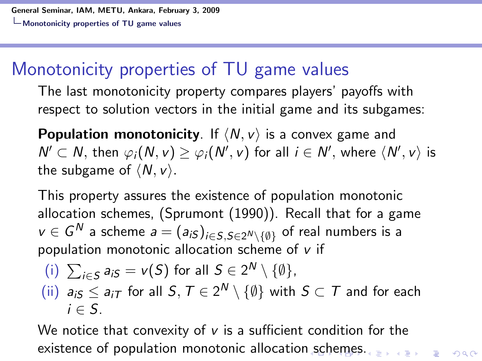### Monotonicity properties of TU game values

The last monotonicity property compares players' payoffs with respect to solution vectors in the initial game and its subgames:

**Population monotonicity**. If  $\langle N, v \rangle$  is a convex game and  $N' \subset N$ , then  $\varphi_i(N, v) \ge \varphi_i(N', v)$  for all  $i \in N'$ , where  $\langle N', v \rangle$  is the subgame of  $\langle N, v \rangle$ .

This property assures the existence of population monotonic allocation schemes, (Sprumont (1990)). Recall that for a game  $v\in G^N$  a scheme  $a=(a_{iS})_{i\in S,S\in 2^N\setminus\{\emptyset\}}$  of real numbers is a population monotonic allocation scheme of  $v$  if

\n- (i) 
$$
\sum_{i \in S} a_{iS} = v(S)
$$
 for all  $S \in 2^N \setminus \{\emptyset\}$ ,
\n- (ii)  $a_{iS} \le a_{iT}$  for all  $S, T \in 2^N \setminus \{\emptyset\}$  with  $S \subset T$  and for each  $i \in S$ .
\n

We notice that convexity of  $v$  is a sufficient condition for the existence of population monotonic allocation schemes.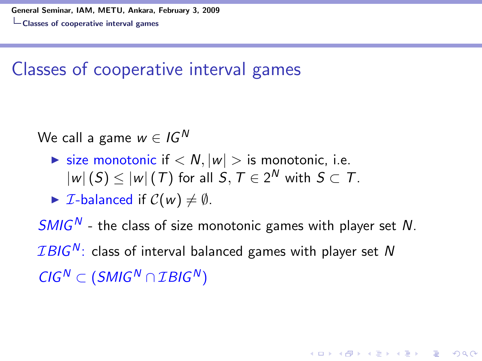### Classes of cooperative interval games

We call a game  $w \in I G^N$ 

- $\triangleright$  size monotonic if  $\lt N, |w| >$  is monotonic, i.e.  $|w| \left( S \right) \le |w| \left( \mathcal{T} \right)$  for all  $\mathcal{S}, \mathcal{T} \in 2^{\mathcal{N}}$  with  $\mathcal{S} \subset \mathcal{T}.$
- $\triangleright$  *I*-balanced if  $C(w) \neq \emptyset$ .

 $SMIG<sup>N</sup>$  - the class of size monotonic games with player set N.  $IBIG<sup>N</sup>$ : class of interval balanced games with player set N  $CIG<sup>N</sup> \subset (SMIG<sup>N</sup> \cap IBIG<sup>N</sup>)$ 

**KORK ERKER ADE YOUR**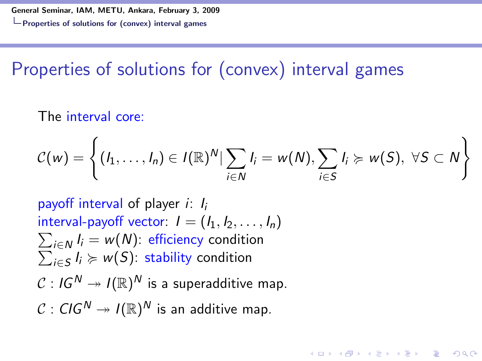## Properties of solutions for (convex) interval games

The interval core:

$$
C(w) = \left\{ (I_1, \ldots, I_n) \in I(\mathbb{R})^N | \sum_{i \in N} I_i = w(N), \sum_{i \in S} I_i \succcurlyeq w(S), \ \forall S \subset N \right\}
$$

4 0 > 4 4 + 4 3 + 4 3 + 5 + 9 4 0 +

payoff interval of player  $i: I_i$  $\sum_{i\in \mathcal{N}}I_{i}=w(\mathcal{N})$ : efficiency condition interval-payoff vector:  $I = (I_1, I_2, \ldots, I_n)$  $\sum_{i\in S} I_i \succcurlyeq w(S)$ : stability condition  $\mathcal{C}: \mathit{IG}^{\mathit{N}} \twoheadrightarrow \mathit{I}(\mathbb{R})^{\mathit{N}}$  is a superadditive map.  $\mathcal{C}: C$ IG $^{\mathcal{N}}\twoheadrightarrow I(\mathbb{R})^{\mathcal{N}}$  is an additive map.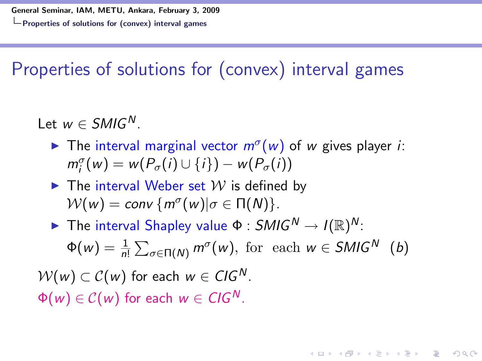## Properties of solutions for (convex) interval games

Let  $w \in SMIG^N$ .

- The interval marginal vector  $m^{\sigma}(w)$  of w gives player *i*:  $m_i^{\sigma}(w) = w(P_{\sigma}(i) \cup \{i\}) - w(P_{\sigma}(i))$
- $\blacktriangleright$  The interval Weber set  $W$  is defined by  $\mathcal{W}(w) = \text{conv}\left\{m^{\sigma}(w)| \sigma \in \Pi(\mathcal{N})\right\}.$
- $\blacktriangleright$  The interval Shapley value  $\Phi: \mathcal{SMIG}^N \to I(\mathbb{R})^N$ :  $\Phi(w) = \frac{1}{n!} \sum_{\sigma \in \Pi(N)} m^{\sigma}(w)$ , for each  $w \in SMIG^N$  (b)  $W(w) \subset C(w)$  for each  $w \in CIG^N$ .  $\Phi(w) \in \mathcal{C}(w)$  for each  $w \in \mathcal{C}(\mathcal{G}^N)$ .

4 0 > 4 4 + 4 3 + 4 3 + 5 + 9 4 0 +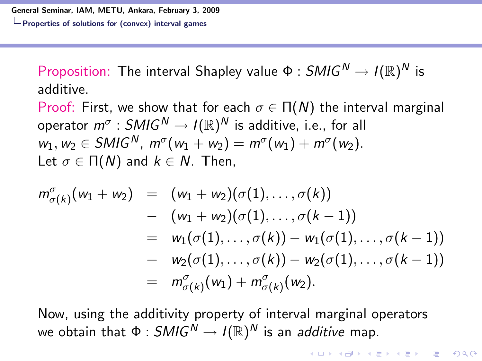Proposition: The interval Shapley value  $\Phi: \mathcal{SMIG}^{\mathcal{N}} \rightarrow I(\mathbb{R})^{\mathcal{N}}$  is additive.

Proof: First, we show that for each  $\sigma \in \Pi(N)$  the interval marginal operator  $m^\sigma:SMlG^N\to l(\mathbb{R})^N$  is additive, i.e., for all  $w_1, w_2 \in SMIG^N$ ,  $m^{\sigma}(w_1 + w_2) = m^{\sigma}(w_1) + m^{\sigma}(w_2)$ . Let  $\sigma \in \Pi(N)$  and  $k \in N$ . Then,

$$
m^{\sigma}_{\sigma(k)}(w_1 + w_2) = (w_1 + w_2)(\sigma(1), \ldots, \sigma(k))
$$
  
\n
$$
- (w_1 + w_2)(\sigma(1), \ldots, \sigma(k-1))
$$
  
\n
$$
= w_1(\sigma(1), \ldots, \sigma(k)) - w_1(\sigma(1), \ldots, \sigma(k-1))
$$
  
\n
$$
+ w_2(\sigma(1), \ldots, \sigma(k)) - w_2(\sigma(1), \ldots, \sigma(k-1))
$$
  
\n
$$
= m^{\sigma}_{\sigma(k)}(w_1) + m^{\sigma}_{\sigma(k)}(w_2).
$$

Now, using the additivity property of interval marginal operators we obtain that  $\Phi:SMlG^N\to I(\mathbb{R})^N$  is an *additive* map.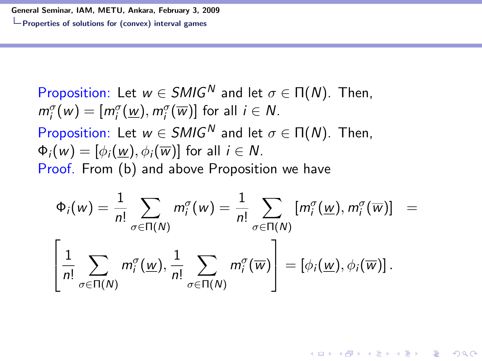General Seminar, IAM, METU, Ankara, February 3, 2009

 $\mathrel{\sqsubseteq}$  Properties of solutions for (convex) interval games

Proposition: Let 
$$
w \in SMIG^N
$$
 and let  $\sigma \in \Pi(N)$ . Then,  
\n $m_i^{\sigma}(w) = [m_i^{\sigma}(\underline{w}), m_i^{\sigma}(\overline{w})]$  for all  $i \in N$ .  
\nProposition: Let  $w \in SMIG^N$  and let  $\sigma \in \Pi(N)$ . Then,  
\n $\Phi_i(w) = [\phi_i(\underline{w}), \phi_i(\overline{w})]$  for all  $i \in N$ .  
\nProof. From (b) and above Proposition we have

$$
\Phi_i(w) = \frac{1}{n!} \sum_{\sigma \in \Pi(N)} m_i^{\sigma}(w) = \frac{1}{n!} \sum_{\sigma \in \Pi(N)} [m_i^{\sigma}(\underline{w}), m_i^{\sigma}(\overline{w})] = \left[\frac{1}{n!} \sum_{\sigma \in \Pi(N)} m_i^{\sigma}(\underline{w}), \frac{1}{n!} \sum_{\sigma \in \Pi(N)} m_i^{\sigma}(\overline{w})\right] = [\phi_i(\underline{w}), \phi_i(\overline{w})].
$$

**KO > K @ > K 할 > K 할 > L 할 > 10 A Q Q ^**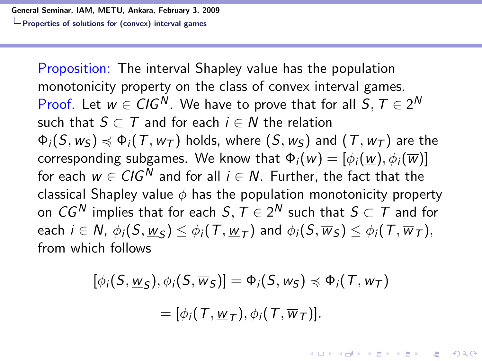Properties of solutions for (convex) interval games

Proposition: The interval Shapley value has the population monotonicity property on the class of convex interval games. Proof. Let  $w \in CIG^N$ . We have to prove that for all  $S, T \in 2^N$ such that  $S \subset T$  and for each  $i \in N$  the relation  $\Phi_i(S, w_S) \preccurlyeq \Phi_i(T, w_T)$  holds, where  $(S, w_S)$  and  $(T, w_T)$  are the corresponding subgames. We know that  $\Phi_i(w) = [\phi_i(w), \phi_i(\overline{w})]$ for each  $w \in CIG^N$  and for all  $i \in N$ . Further, the fact that the classical Shapley value  $\phi$  has the population monotonicity property on  $\mathit{CG}^{\,N}$  implies that for each  $S,\,T\in 2^{\,N}$  such that  $S\subset\,T$  and for each  $i\in \mathcal{N}$ ,  $\phi_i(S,\underline{w}_{\mathcal{S}})\leq \phi_i(\mathcal{T},\underline{w}_{\mathcal{T}})$  and  $\phi_i(S,\overline{w}_{\mathcal{S}})\leq \phi_i(\mathcal{T},\overline{w}_{\mathcal{T}}),$ from which follows

$$
[\phi_i(S, \underline{w}_S), \phi_i(S, \overline{w}_S)] = \Phi_i(S, w_S) \preccurlyeq \Phi_i(T, w_T)
$$

$$
= [\phi_i(T, \underline{w}_T), \phi_i(T, \overline{w}_T)].
$$

**KORKAR KERKER EL VOLO**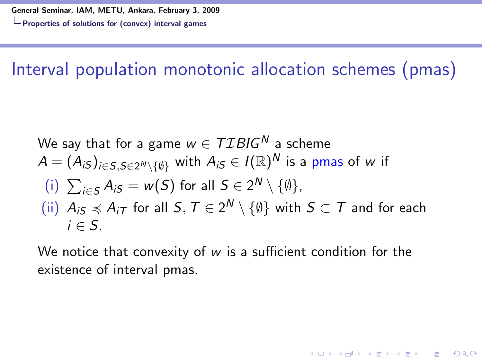Interval population monotonic allocation schemes (pmas)

We say that for a game 
$$
w \in TIBIG^N
$$
 a scheme  
\n $A = (A_{iS})_{i \in S, S \in 2^N \setminus \{\emptyset\}}$  with  $A_{iS} \in I(\mathbb{R})^N$  is a pmas of w if  
\n(i)  $\sum_{i \in S} A_{iS} = w(S)$  for all  $S \in 2^N \setminus \{\emptyset\}$ ,  
\n(ii)  $A_{iS} \preccurlyeq A_{iT}$  for all  $S, T \in 2^N \setminus \{\emptyset\}$  with  $S \subset T$  and for each  $i \in S$ .

We notice that convexity of  $w$  is a sufficient condition for the existence of interval pmas.

**KORK ERKER ADE YOUR**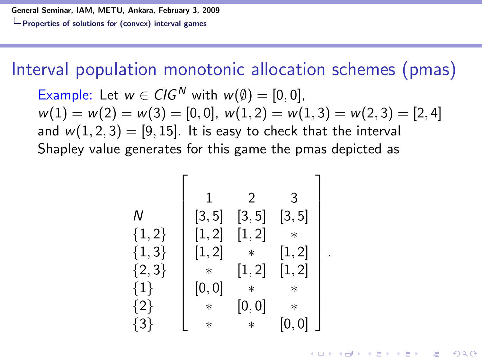General Seminar, IAM, METU, Ankara, February 3, 2009

Properties of solutions for (convex) interval games

Interval population monotonic allocation schemes (pmas)

Example: Let  $w \in CIG^N$  with  $w(\emptyset) = [0, 0]$ ,  $w(1) = w(2) = w(3) = [0, 0], w(1, 2) = w(1, 3) = w(2, 3) = [2, 4]$ and  $w(1, 2, 3) = [9, 15]$ . It is easy to check that the interval Shapley value generates for this game the pmas depicted as

$$
\begin{array}{c}\nN \\
\{1,2\} \\
\{1,3\} \\
\{1,3\} \\
\{2\} \\
\{3,5\} \\
\{1,2\} \\
\{1,3\} \\
\{1,4\} \\
\{2\} \\
\{3\} \\
\{3\} \\
\{4\} \\
\{5\} \\
\{6,0\} \\
\{7,6\} \\
\{8\} \\
\{9,0\} \\
\{1,1,2\} \\
\{1,2\} \\
\{1,3\} \\
\{1,4\} \\
\{2\} \\
\{3\} \\
\{1,3\} \\
\{1,4\} \\
\{2\} \\
\{3\} \\
\{3\} \\
\{4\} \\
\{5\} \\
\{6,0\} \\
\{7,1\} \\
\{8\} \\
\{9,0\} \\
\{1,1\} \\
\{1,2\} \\
\{1,3\} \\
\{1,4\} \\
\{2\} \\
\{3\} \\
\{3\} \\
\{4\} \\
\{5\} \\
\{6,0\} \\
\{7,1\} \\
\{8\} \\
\{9,0\} \\
\{1,1\} \\
\{1,2\} \\
\{1,3\} \\
\{2\} \\
\{3\} \\
\{4\} \\
\{5\} \\
\{6,0\} \\
\{7,1\} \\
\{8\} \\
\{9,0\} \\
\{1,2\} \\
\{1,3\} \\
\{2\} \\
\{3\} \\
\{4\} \\
\{5\} \\
\{6,0\} \\
\{7,1\} \\
\{8\} \\
\{9,0\} \\
\{1,2\} \\
\{1,3\} \\
\{2\} \\
\{3,4\} \\
\{4\} \\
\{5\} \\
\{6,0\} \\
\{7,1\} \\
\{8,1\} \\
\{1,2\} \\
\{1,3\} \\
\{2,3\} \\
\{3,4\} \\
\{4\} \\
\{5\} \\
\{6,0\} \\
\{7,1\} \\
\{8,1\} \\
\{1,2\} \\
\{1,3\} \\
\{2,3\} \\
\{3,4\} \\
\{4\} \\
\{5\} \\
\{6,0\} \\
\{7,1\} \\
\{8,1\} \\
\{1,2\} \\
\{1,3\} \\
\{2\} \\
\{3\} \\
\{3\} \\
\{4\} \\
\{5\} \\
\{6,0\} \\
\{7,1\} \\
\{
$$

.

4 0 > 4 4 + 4 3 + 4 3 + 5 + 9 4 0 +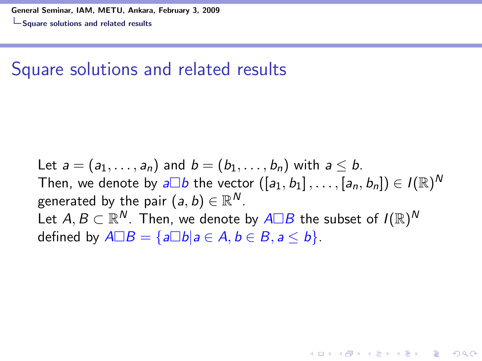#### Square solutions and related results

Let  $a = (a_1, \ldots, a_n)$  and  $b = (b_1, \ldots, b_n)$  with  $a \leq b$ . Then, we denote by  $\overline{a\Box b}$  the vector  $([a_1,b_1]\,,\ldots,[a_n,b_n])\in I(\mathbb{R})^N$ generated by the pair  $(a,b)\in\mathbb{R}^N$ . Let  $A,B\subset\mathbb{R}^N.$  Then, we denote by  $A\Box B$  the subset of  $I(\mathbb{R})^N$ defined by  $A \Box B = \{a \Box b | a \in A, b \in B, a \leq b\}.$ 

**A O A G A 4 O A C A G A G A 4 O A C A**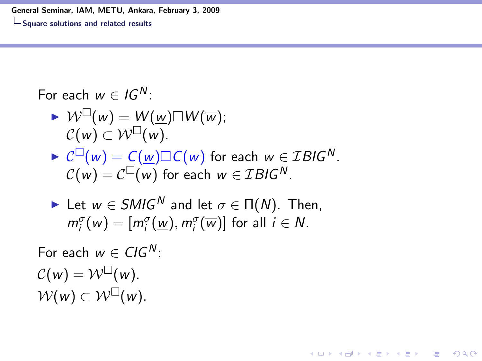General Seminar, IAM, METU, Ankara, February 3, 2009

Square solutions and related results

For each  $w \in I G^N$ :

$$
\triangleright \mathcal{W}^{\square}(w) = \mathcal{W}(\underline{w}) \square \mathcal{W}(\overline{w});
$$
  

$$
\mathcal{C}(w) \subset \mathcal{W}^{\square}(w).
$$

 $\blacktriangleright \mathcal{C}^{\square}(w) = \mathcal{C}(\underline{w}) \square \mathcal{C}(\overline{w})$  for each  $w \in \mathcal{I} BlG^N$ .  $\mathcal{C}(w) = \mathcal{C}^{\square}(w)$  for each  $w \in \mathcal{I} B \mathcal{I} G^{\mathsf{N}}.$ 

• Let 
$$
w \in SMIG^N
$$
 and let  $\sigma \in \Pi(N)$ . Then,  
 $m_i^{\sigma}(w) = [m_i^{\sigma}(\underline{w}), m_i^{\sigma}(\overline{w})]$  for all  $i \in N$ .

**KORK ERKER ADE YOUR** 

For each  $w \in CIG^N$ :  $\mathcal{C}(w) = \mathcal{W}^{\square}(w).$  $W(w) \subset W^{\square}(w)$ .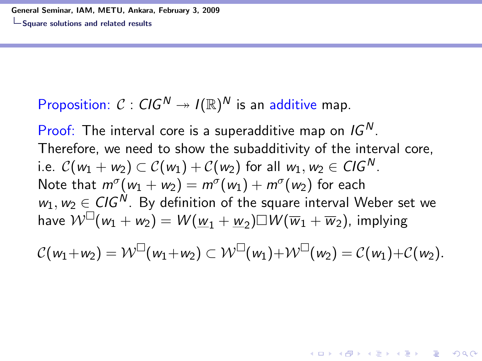Square solutions and related results

#### Proposition:  $C: CIG^N \twoheadrightarrow I(\mathbb{R})^N$  is an additive map.

Proof: The interval core is a superadditive map on  $IG<sup>N</sup>$ . Therefore, we need to show the subadditivity of the interval core, i.e.  $\mathcal{C}(w_1 + w_2) \subset \mathcal{C}(w_1) + \mathcal{C}(w_2)$  for all  $w_1, w_2 \in \mathcal{C}(\mathcal{G}^N)$ . Note that  $m^{\sigma}(w_1 + w_2) = m^{\sigma}(w_1) + m^{\sigma}(w_2)$  for each  $w_1, w_2 \in CIG^N$ . By definition of the square interval Weber set we have  $\mathcal{W}^{\square}(w_1+w_2)=W(\underline{w}_1+\underline{w}_2)\square W(\overline{w}_1+\overline{w}_2)$ , implying

$$
\mathcal{C}(w_1+w_2)=\mathcal{W}^{\square}(w_1+w_2)\subset \mathcal{W}^{\square}(w_1)+\mathcal{W}^{\square}(w_2)=\mathcal{C}(w_1)+\mathcal{C}(w_2).
$$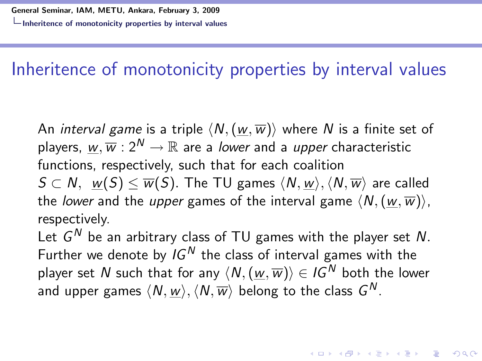#### Inheritence of monotonicity properties by interval values

An *interval game* is a triple  $\langle N, (w, \overline{w}) \rangle$  where N is a finite set of players,  $w, \overline{w}: 2^N \to \mathbb{R}$  are a lower and a upper characteristic functions, respectively, such that for each coalition  $S \subset N$ ,  $w(S) \leq \overline{w}(S)$ . The TU games  $\langle N,w \rangle$ ,  $\langle N,\overline{w} \rangle$  are called the lower and the upper games of the interval game  $\langle N,(w,\overline{w})\rangle$ , respectively.

Let  $G^N$  be an arbitrary class of TU games with the player set  $N$ . Further we denote by  $IG^N$  the class of interval games with the player set N such that for any  $\langle N,(w,\overline{w})\rangle \in I\mathbb{G}^N$  both the lower and upper games  $\langle\mathcal{N},\underline{w}\rangle,\langle\mathcal{N},\overline{w}\rangle$  belong to the class  $G^{\mathcal{N}}.$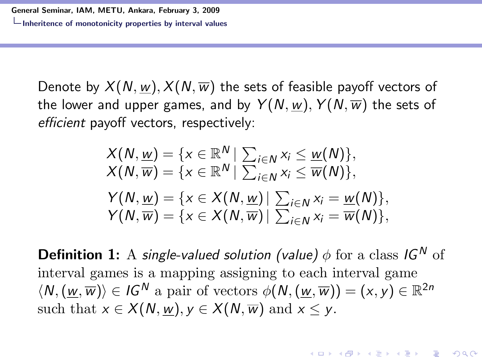Denote by  $X(N, w), X(N, \overline{w})$  the sets of feasible payoff vectors of the lower and upper games, and by  $Y(N, w)$ ,  $Y(N, \overline{w})$  the sets of efficient payoff vectors, respectively:

$$
X(N, \underline{w}) = \{x \in \mathbb{R}^N \mid \sum_{i \in N} x_i \leq \underline{w}(N)\},
$$
  
\n
$$
X(N, \overline{w}) = \{x \in \mathbb{R}^N \mid \sum_{i \in N} x_i \leq \overline{w}(N)\},
$$
  
\n
$$
Y(N, \underline{w}) = \{x \in X(N, \underline{w}) \mid \sum_{i \in N} x_i = \underline{w}(N)\},
$$
  
\n
$$
Y(N, \overline{w}) = \{x \in X(N, \overline{w}) \mid \sum_{i \in N} x_i = \overline{w}(N)\},
$$

**Definition 1:** A single-valued solution (value)  $\phi$  for a class IG<sup>N</sup> of interval games is a mapping assigning to each interval game  $\langle N, (\underline{w}, \overline{w}) \rangle \in \mathit{IG}^N$  a pair of vectors  $\phi(N, (\underline{w}, \overline{w})) = (x, y) \in \mathbb{R}^{2n}$ such that  $x \in X(N, w), y \in X(N, \overline{w})$  and  $x \leq y$ .

**KORKAR KERKER EL VOLO**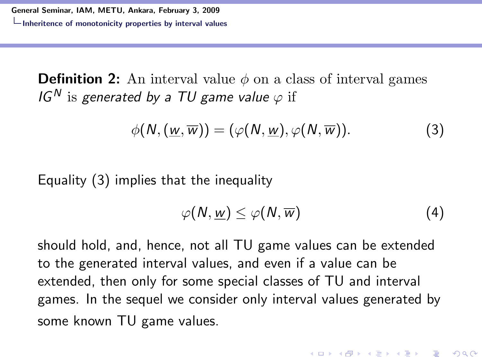**Definition 2:** An interval value  $\phi$  on a class of interval games IG<sup>N</sup> is generated by a TU game value  $\varphi$  if

$$
\phi(N, (\underline{w}, \overline{w})) = (\varphi(N, \underline{w}), \varphi(N, \overline{w})). \tag{3}
$$

Equality (3) implies that the inequality

$$
\varphi(N, \underline{w}) \leq \varphi(N, \overline{w}) \tag{4}
$$

should hold, and, hence, not all TU game values can be extended to the generated interval values, and even if a value can be extended, then only for some special classes of TU and interval games. In the sequel we consider only interval values generated by some known TU game values.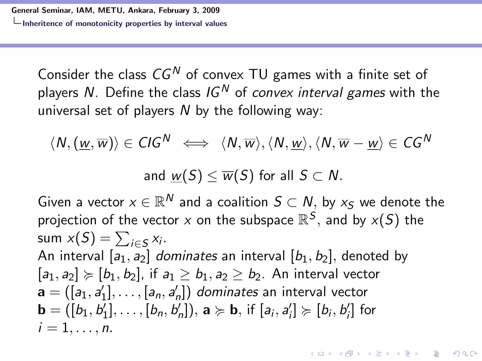Consider the class  $CG^N$  of convex TU games with a finite set of players N. Define the class  $IG<sup>N</sup>$  of convex interval games with the universal set of players  *by the following way:* 

$$
\langle N, (\underline{w}, \overline{w}) \rangle \in \text{CIG}^N \iff \langle N, \overline{w} \rangle, \langle N, \underline{w} \rangle, \langle N, \overline{w} - \underline{w} \rangle \in \text{CG}^N
$$

and  $w(S) \leq \overline{w}(S)$  for all  $S \subset N$ .

Given a vector  $x\in\mathbb{R}^N$  and a coalition  $S\subset N,$  by  $x_S$  we denote the projection of the vector  $x$  on the subspace  $\mathbb{R}^S,$  and by  $x(S)$  the sum  $x(S) = \sum_{i \in S} x_i$ . An interval  $[a_1, a_2]$  dominates an interval  $[b_1, b_2]$ , denoted by  $[a_1, a_2] \succcurlyeq [b_1, b_2]$ , if  $a_1 > b_1$ ,  $a_2 > b_2$ . An interval vector  $\mathbf{a} = ([a_1, a'_1], \ldots, [a_n, a'_n])$  dominates an interval vector  $\mathbf{b} = ([b_1, b'_1], \ldots, [b_n, b'_n]), \, \mathbf{a} \succcurlyeq \mathbf{b}, \, \text{if } [a_i, a'_i] \succcurlyeq [b_i, b'_i] \, \text{for}$  $i=1,\ldots,n$ .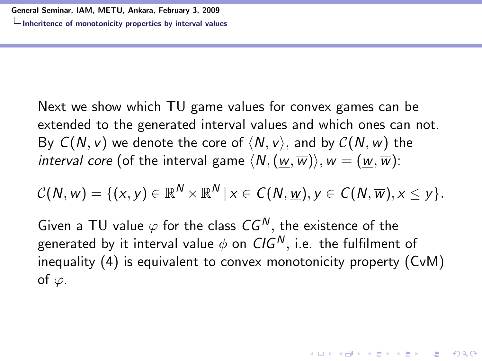Next we show which TU game values for convex games can be extended to the generated interval values and which ones can not. By  $C(N, v)$  we denote the core of  $\langle N, v \rangle$ , and by  $C(N, w)$  the interval core (of the interval game  $\langle N, (w,\overline{w})\rangle, w = (w,\overline{w})$ :

$$
C(N, w) = \{ (x, y) \in \mathbb{R}^N \times \mathbb{R}^N \mid x \in C(N, \underline{w}), y \in C(N, \overline{w}), x \leq y \}.
$$

Given a TU value  $\varphi$  for the class  $CG^N$ , the existence of the generated by it interval value  $\phi$  on CIG<sup>N</sup>, i.e. the fulfilment of inequality (4) is equivalent to convex monotonicity property (CvM) of  $\varphi$ .

**KORKAR KERKER EL VOLO**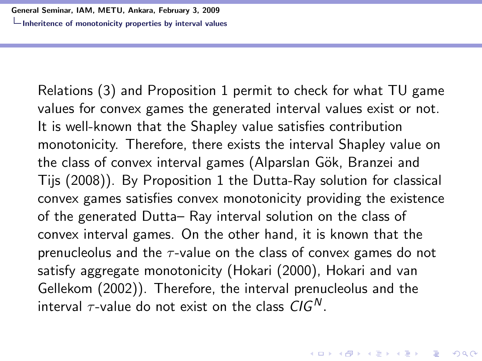Relations (3) and Proposition 1 permit to check for what TU game values for convex games the generated interval values exist or not. It is well-known that the Shapley value satisfies contribution monotonicity. Therefore, there exists the interval Shapley value on the class of convex interval games (Alparslan Gök, Branzei and Tijs (2008)). By Proposition 1 the Dutta-Ray solution for classical convex games satisfies convex monotonicity providing the existence of the generated Dutta– Ray interval solution on the class of convex interval games. On the other hand, it is known that the prenucleolus and the  $\tau$ -value on the class of convex games do not satisfy aggregate monotonicity (Hokari (2000), Hokari and van Gellekom (2002)). Therefore, the interval prenucleolus and the interval  $\tau$ -value do not exist on the class  $CIG<sup>N</sup>$ .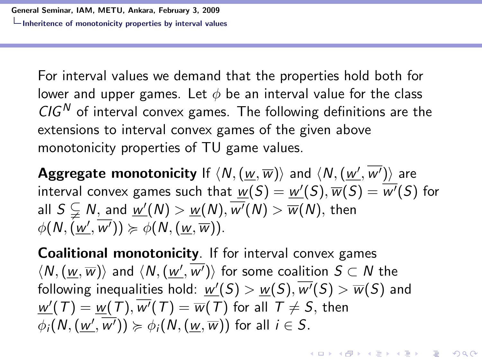For interval values we demand that the properties hold both for lower and upper games. Let  $\phi$  be an interval value for the class  $CIG<sup>N</sup>$  of interval convex games. The following definitions are the extensions to interval convex games of the given above monotonicity properties of TU game values.

 $\mathsf{Aggregate}$  monotonicity If  $\langle N,(\underline{w},\overline{w})\rangle$  and  $\langle N,(\underline{w'},\overline{w'})\rangle$  are interval convex games such that  $\underline{w}(S) = \underline{w'}(S), \overline{w}(S) = \overline{w'}(S)$  for all  $S\subsetneqq N,$  and  $\underline{w'}(N)>\underline{w}(N),\overline{w'}(N)>\overline{w}(N),$  then  $\phi(N,(\underline{w'},\overline{w'})) \succcurlyeq \phi(N,(\underline{w},\overline{w})).$ 

Coalitional monotonicity. If for interval convex games  $\langle N, (\underline{w},\overline{w})\rangle$  and  $\langle N,(\underline{w'},\overline{w'})\rangle$  for some coalition  $S\subset N$  the following inequalities hold:  $\underline{w'}(S) > \underline{w}(S), \overline{w'}(S) > \overline{w}(S)$  and  $\overline{\mathsf{w}'}(T)=\overline{\mathsf{w}}(T),\overline{\mathsf{w}'}(T)=\overline{\mathsf{w}}(T)$  for all  $T\neq \mathcal{S},$  then  $\phi_i(N,(\underline{w'},\overline{w'}))\succcurlyeq\phi_i(N,(\underline{w},\overline{w}))$  for all  $i\in\mathcal{S}.$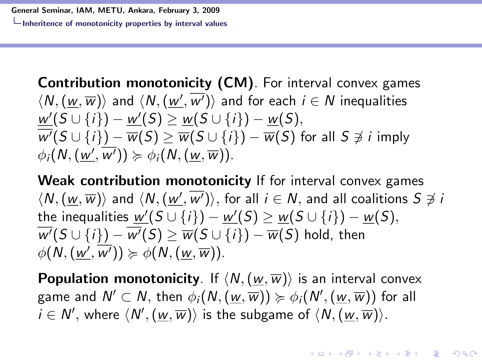Contribution monotonicity (CM). For interval convex games  $\langle \mathcal{N},(\underline{w},\overline{w})\rangle$  and  $\langle \mathcal{N},(\underline{w'},\overline{w'})\rangle$  and for each  $i\in \mathcal{N}$  inequalities  $w'(S \cup \{i\}) - w'(S) \ge w(S \cup \{i\}) - w(S),$  $\overline{w'}(S \cup \{i\}) - \overline{w}(S) \ge \overline{w}(S \cup \{i\}) - \overline{w}(S)$  for all  $S \not\ni i$  imply  $\phi_i(N, (\underline{w}', \overline{w}')) \succcurlyeq \phi_i(N, (\underline{w}, \overline{w})).$ 

Weak contribution monotonicity If for interval convex games  $\langle N, (\underline{w},\overline{w})\rangle$  and  $\langle N,(\underline{w'},\overline{w'})\rangle,$  for all  $i\in \mathcal{N},$  and all coalitions  $S\not\ni i$ the inequalities  $\underline{w'}(S\cup\{i\})-\underline{w'}(S)\geq \underline{w}(S\cup\{i\})-\underline{w}(S),$  $\overline{w'}(S \cup \{i\}) - \overline{w'}(S) \ge \overline{w}(S \cup \{i\}) - \overline{w}(S)$  hold, then  $\phi(N, (\underline{w'}, \overline{w'})) \succcurlyeq \phi(N, (\underline{w}, \overline{w})).$ 

**Population monotonicity**. If  $\langle N, (\underline{w},\overline{w})\rangle$  is an interval convex game and  $\mathsf{N}'\subset \mathsf{N},$  then  $\phi_i(\mathsf{N},(\underline{w},\overline{w}))\succcurlyeq\phi_i(\mathsf{N}',(\underline{w},\overline{w}))$  for all  $i \in N',$  where  $\langle N',(\underline{w},\overline{w})\rangle$  is the subgame of  $\langle N,(\underline{w},\overline{w})\rangle$ .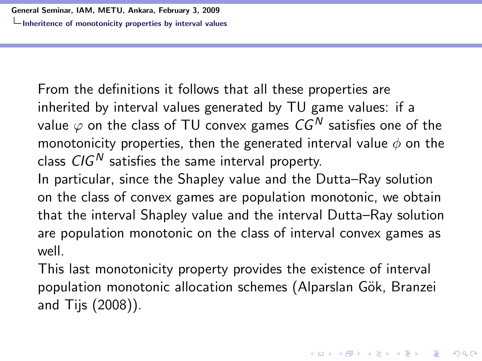From the definitions it follows that all these properties are inherited by interval values generated by TU game values: if a value  $\varphi$  on the class of TU convex games  $CG^N$  satisfies one of the monotonicity properties, then the generated interval value  $\phi$  on the class  $CIG<sup>N</sup>$  satisfies the same interval property.

In particular, since the Shapley value and the Dutta–Ray solution on the class of convex games are population monotonic, we obtain that the interval Shapley value and the interval Dutta–Ray solution are population monotonic on the class of interval convex games as well.

This last monotonicity property provides the existence of interval population monotonic allocation schemes (Alparslan Gök, Branzei and Tijs (2008)).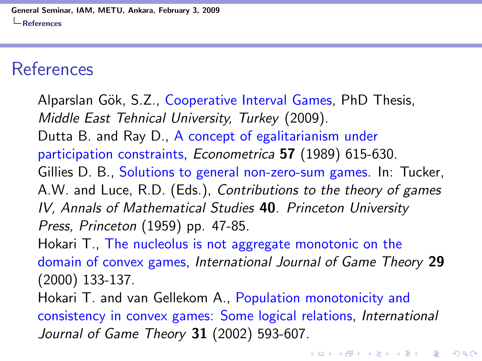#### References

Alparslan Gök, S.Z., Cooperative Interval Games, PhD Thesis, Middle East Tehnical University, Turkey (2009). Dutta B. and Ray D., A concept of egalitarianism under participation constraints, Econometrica 57 (1989) 615-630. Gillies D. B., Solutions to general non-zero-sum games. In: Tucker, A.W. and Luce, R.D. (Eds.), Contributions to the theory of games IV, Annals of Mathematical Studies 40. Princeton University Press, Princeton (1959) pp. 47-85. Hokari T., The nucleolus is not aggregate monotonic on the domain of convex games, International Journal of Game Theory 29 (2000) 133-137. Hokari T. and van Gellekom A., Population monotonicity and consistency in convex games: Some logical relations, International Journal of Game Theory 31 (2002) 593-607.